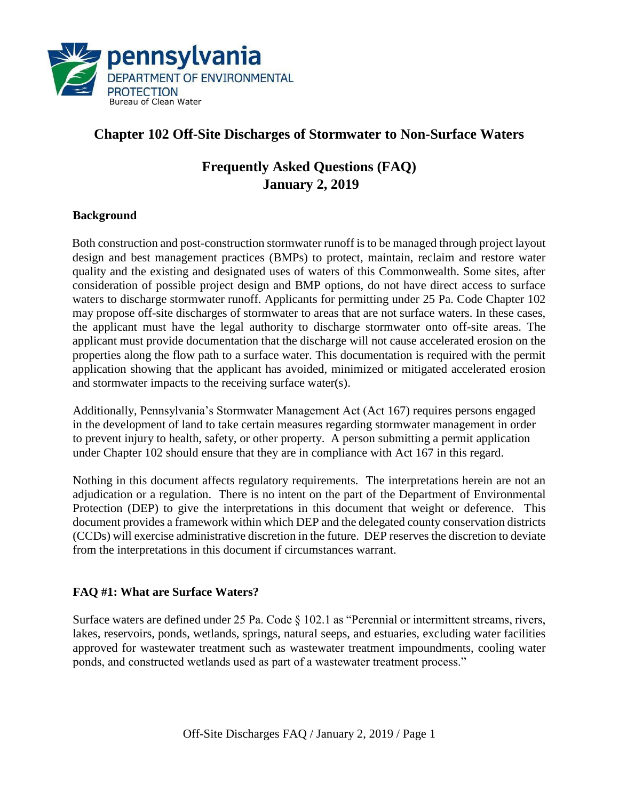

# **Chapter 102 Off-Site Discharges of Stormwater to Non-Surface Waters**

# **Frequently Asked Questions (FAQ) January 2, 2019**

### **Background**

Both construction and post-construction stormwater runoff is to be managed through project layout design and best management practices (BMPs) to protect, maintain, reclaim and restore water quality and the existing and designated uses of waters of this Commonwealth. Some sites, after consideration of possible project design and BMP options, do not have direct access to surface waters to discharge stormwater runoff. Applicants for permitting under 25 Pa. Code Chapter 102 may propose off-site discharges of stormwater to areas that are not surface waters. In these cases, the applicant must have the legal authority to discharge stormwater onto off-site areas. The applicant must provide documentation that the discharge will not cause accelerated erosion on the properties along the flow path to a surface water. This documentation is required with the permit application showing that the applicant has avoided, minimized or mitigated accelerated erosion and stormwater impacts to the receiving surface water(s).

Additionally, Pennsylvania's Stormwater Management Act (Act 167) requires persons engaged in the development of land to take certain measures regarding stormwater management in order to prevent injury to health, safety, or other property. A person submitting a permit application under Chapter 102 should ensure that they are in compliance with Act 167 in this regard.

Nothing in this document affects regulatory requirements. The interpretations herein are not an adjudication or a regulation. There is no intent on the part of the Department of Environmental Protection (DEP) to give the interpretations in this document that weight or deference. This document provides a framework within which DEP and the delegated county conservation districts (CCDs) will exercise administrative discretion in the future. DEP reserves the discretion to deviate from the interpretations in this document if circumstances warrant.

# **FAQ #1: What are Surface Waters?**

Surface waters are defined under 25 Pa. Code § 102.1 as "Perennial or intermittent streams, rivers, lakes, reservoirs, ponds, wetlands, springs, natural seeps, and estuaries, excluding water facilities approved for wastewater treatment such as wastewater treatment impoundments, cooling water ponds, and constructed wetlands used as part of a wastewater treatment process."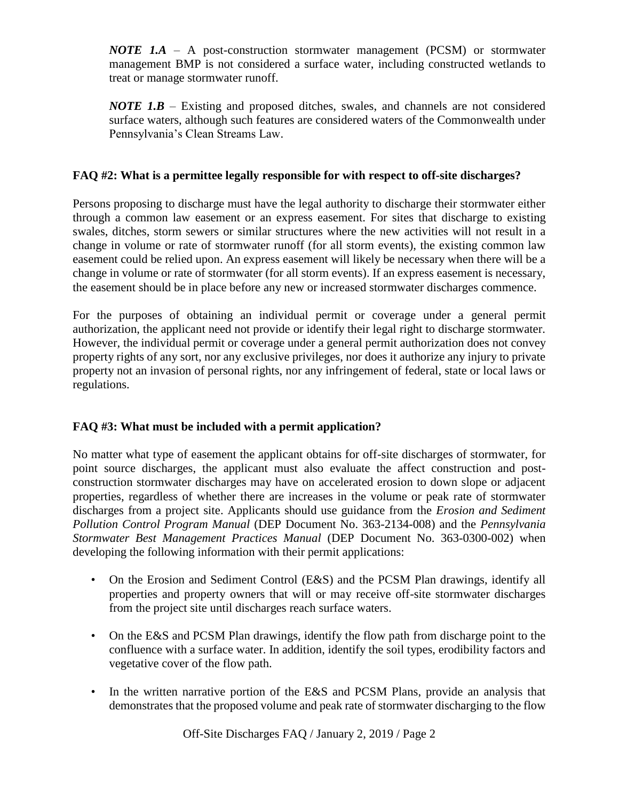*NOTE 1.A* – A post-construction stormwater management (PCSM) or stormwater management BMP is not considered a surface water, including constructed wetlands to treat or manage stormwater runoff.

*NOTE 1.B* – Existing and proposed ditches, swales, and channels are not considered surface waters, although such features are considered waters of the Commonwealth under Pennsylvania's Clean Streams Law.

# **FAQ #2: What is a permittee legally responsible for with respect to off-site discharges?**

Persons proposing to discharge must have the legal authority to discharge their stormwater either through a common law easement or an express easement. For sites that discharge to existing swales, ditches, storm sewers or similar structures where the new activities will not result in a change in volume or rate of stormwater runoff (for all storm events), the existing common law easement could be relied upon. An express easement will likely be necessary when there will be a change in volume or rate of stormwater (for all storm events). If an express easement is necessary, the easement should be in place before any new or increased stormwater discharges commence.

For the purposes of obtaining an individual permit or coverage under a general permit authorization, the applicant need not provide or identify their legal right to discharge stormwater. However, the individual permit or coverage under a general permit authorization does not convey property rights of any sort, nor any exclusive privileges, nor does it authorize any injury to private property not an invasion of personal rights, nor any infringement of federal, state or local laws or regulations.

# **FAQ #3: What must be included with a permit application?**

No matter what type of easement the applicant obtains for off-site discharges of stormwater, for point source discharges, the applicant must also evaluate the affect construction and postconstruction stormwater discharges may have on accelerated erosion to down slope or adjacent properties, regardless of whether there are increases in the volume or peak rate of stormwater discharges from a project site. Applicants should use guidance from the *Erosion and Sediment Pollution Control Program Manual* (DEP Document No. 363-2134-008) and the *Pennsylvania Stormwater Best Management Practices Manual* (DEP Document No. 363-0300-002) when developing the following information with their permit applications:

- On the Erosion and Sediment Control (E&S) and the PCSM Plan drawings, identify all properties and property owners that will or may receive off-site stormwater discharges from the project site until discharges reach surface waters.
- On the E&S and PCSM Plan drawings, identify the flow path from discharge point to the confluence with a surface water. In addition, identify the soil types, erodibility factors and vegetative cover of the flow path.
- In the written narrative portion of the E&S and PCSM Plans, provide an analysis that demonstrates that the proposed volume and peak rate of stormwater discharging to the flow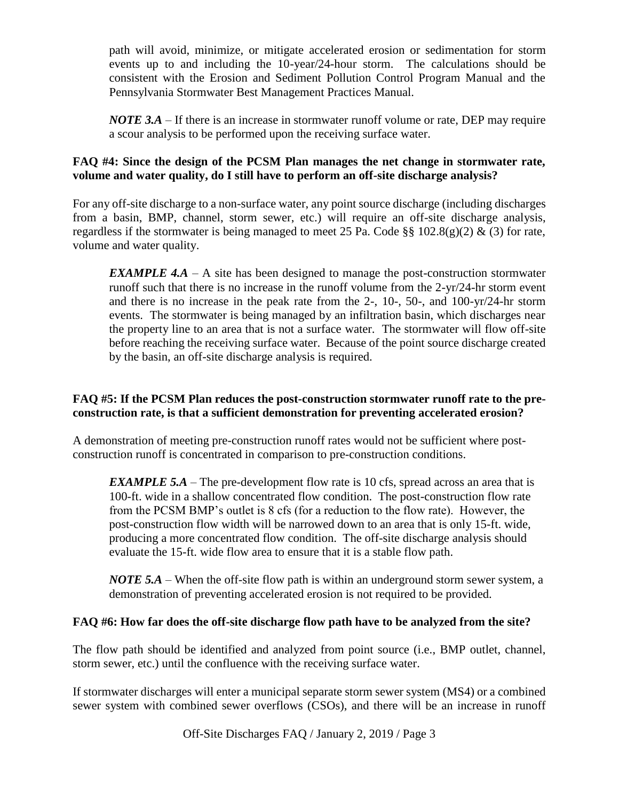path will avoid, minimize, or mitigate accelerated erosion or sedimentation for storm events up to and including the 10-year/24-hour storm. The calculations should be consistent with the Erosion and Sediment Pollution Control Program Manual and the Pennsylvania Stormwater Best Management Practices Manual.

*NOTE 3.A* – If there is an increase in stormwater runoff volume or rate, DEP may require a scour analysis to be performed upon the receiving surface water.

## **FAQ #4: Since the design of the PCSM Plan manages the net change in stormwater rate, volume and water quality, do I still have to perform an off-site discharge analysis?**

For any off-site discharge to a non-surface water, any point source discharge (including discharges from a basin, BMP, channel, storm sewer, etc.) will require an off-site discharge analysis, regardless if the stormwater is being managed to meet 25 Pa. Code §§ 102.8(g)(2) & (3) for rate, volume and water quality.

*EXAMPLE 4.A* – A site has been designed to manage the post-construction stormwater runoff such that there is no increase in the runoff volume from the 2-yr/24-hr storm event and there is no increase in the peak rate from the 2-, 10-, 50-, and 100-yr/24-hr storm events. The stormwater is being managed by an infiltration basin, which discharges near the property line to an area that is not a surface water. The stormwater will flow off-site before reaching the receiving surface water. Because of the point source discharge created by the basin, an off-site discharge analysis is required.

#### **FAQ #5: If the PCSM Plan reduces the post-construction stormwater runoff rate to the preconstruction rate, is that a sufficient demonstration for preventing accelerated erosion?**

A demonstration of meeting pre-construction runoff rates would not be sufficient where postconstruction runoff is concentrated in comparison to pre-construction conditions.

*EXAMPLE 5.A* – The pre-development flow rate is 10 cfs, spread across an area that is 100-ft. wide in a shallow concentrated flow condition. The post-construction flow rate from the PCSM BMP's outlet is 8 cfs (for a reduction to the flow rate). However, the post-construction flow width will be narrowed down to an area that is only 15-ft. wide, producing a more concentrated flow condition. The off-site discharge analysis should evaluate the 15-ft. wide flow area to ensure that it is a stable flow path.

*NOTE 5.A* – When the off-site flow path is within an underground storm sewer system, a demonstration of preventing accelerated erosion is not required to be provided.

# **FAQ #6: How far does the off-site discharge flow path have to be analyzed from the site?**

The flow path should be identified and analyzed from point source (i.e., BMP outlet, channel, storm sewer, etc.) until the confluence with the receiving surface water.

If stormwater discharges will enter a municipal separate storm sewer system (MS4) or a combined sewer system with combined sewer overflows (CSOs), and there will be an increase in runoff

Off-Site Discharges FAQ / January 2, 2019 / Page 3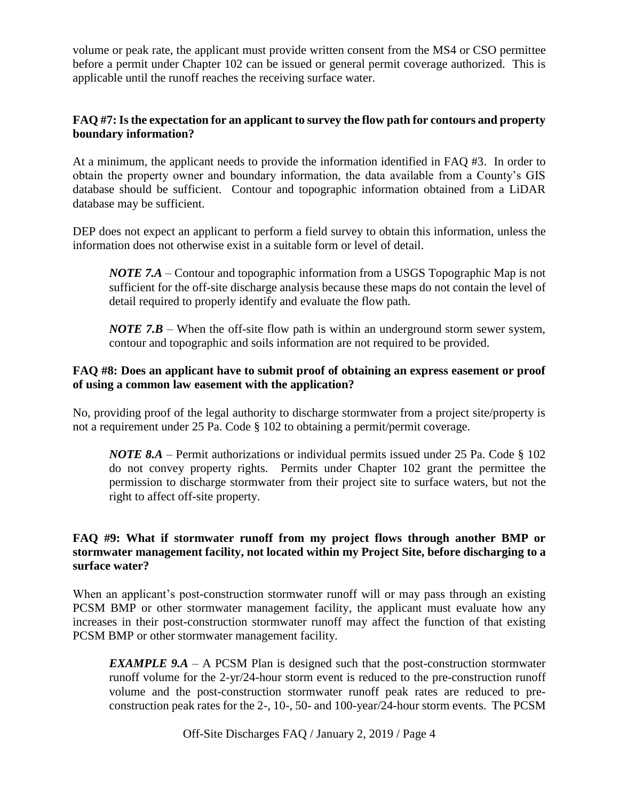volume or peak rate, the applicant must provide written consent from the MS4 or CSO permittee before a permit under Chapter 102 can be issued or general permit coverage authorized. This is applicable until the runoff reaches the receiving surface water.

## **FAQ #7: Is the expectation for an applicant to survey the flow path for contours and property boundary information?**

At a minimum, the applicant needs to provide the information identified in FAQ #3. In order to obtain the property owner and boundary information, the data available from a County's GIS database should be sufficient. Contour and topographic information obtained from a LiDAR database may be sufficient.

DEP does not expect an applicant to perform a field survey to obtain this information, unless the information does not otherwise exist in a suitable form or level of detail.

*NOTE 7.A* – Contour and topographic information from a USGS Topographic Map is not sufficient for the off-site discharge analysis because these maps do not contain the level of detail required to properly identify and evaluate the flow path.

*NOTE 7.B* – When the off-site flow path is within an underground storm sewer system, contour and topographic and soils information are not required to be provided.

### **FAQ #8: Does an applicant have to submit proof of obtaining an express easement or proof of using a common law easement with the application?**

No, providing proof of the legal authority to discharge stormwater from a project site/property is not a requirement under 25 Pa. Code § 102 to obtaining a permit/permit coverage.

*NOTE 8.A* – Permit authorizations or individual permits issued under 25 Pa. Code § 102 do not convey property rights. Permits under Chapter 102 grant the permittee the permission to discharge stormwater from their project site to surface waters, but not the right to affect off-site property.

## **FAQ #9: What if stormwater runoff from my project flows through another BMP or stormwater management facility, not located within my Project Site, before discharging to a surface water?**

When an applicant's post-construction stormwater runoff will or may pass through an existing PCSM BMP or other stormwater management facility, the applicant must evaluate how any increases in their post-construction stormwater runoff may affect the function of that existing PCSM BMP or other stormwater management facility.

*EXAMPLE 9.A* – A PCSM Plan is designed such that the post-construction stormwater runoff volume for the 2-yr/24-hour storm event is reduced to the pre-construction runoff volume and the post-construction stormwater runoff peak rates are reduced to preconstruction peak rates for the 2-, 10-, 50- and 100-year/24-hour storm events. The PCSM